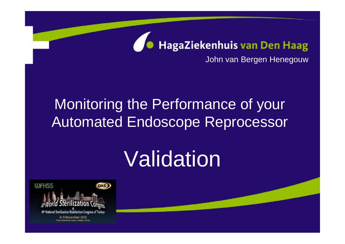## **HagaZiekenhuis van Den Haag**

John van Bergen Henegouw

## Monitoring the Performance of your Automated Endoscope Reprocessor

# Validation

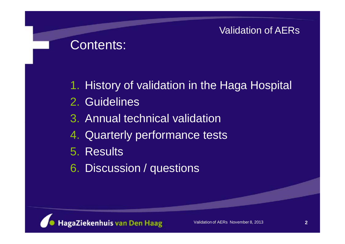### Validation of AERs

## Contents:

- 1. History of validation in the Haga Hospital
- 2. Guidelines
- 3. Annual technical validation
- 4. Quarterly performance tests
- 5. Results
- 6. Discussion / questions

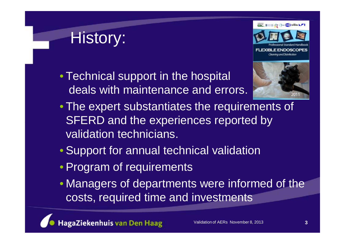## History:



• Technical support in the hospital deals with maintenance and errors.



- The expert substantiates the requirements of SFERD and the experiences reported by validation technicians.
- Support for annual technical validation
- **Program of requirements**
- Managers of departments were informed of the costs, required time and investments

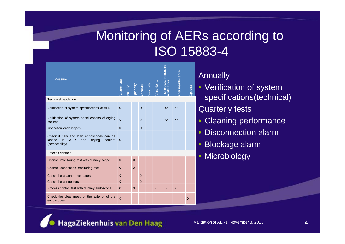## Monitoring of AERs according to ISO 15883-4

| <b>Measure</b>                                                                                                       | t purchase   | Monthly<br>Quarterly<br>Amually<br>Biennially<br>Biennially<br>At incidents |              |          | After process-influencing<br><b>nterferences</b> | After maintenance | <b>Optional</b> |  |
|----------------------------------------------------------------------------------------------------------------------|--------------|-----------------------------------------------------------------------------|--------------|----------|--------------------------------------------------|-------------------|-----------------|--|
| <b>Technical validation</b>                                                                                          |              |                                                                             |              |          |                                                  |                   |                 |  |
| Verification of system specifications of AER                                                                         | $\mathsf{x}$ |                                                                             | $\mathsf{X}$ |          | $X^*$                                            | $X^*$             |                 |  |
| Verification of system specifications of drying<br>cabinet                                                           | $\mathsf{x}$ |                                                                             | $\mathsf{X}$ |          | $X^*$                                            | $X^*$             |                 |  |
| Inspection endoscopes                                                                                                | $\mathsf{x}$ |                                                                             | $\mathsf{X}$ |          |                                                  |                   |                 |  |
| Check if new and loan endoscopes can be<br>loaded<br><b>AER</b><br>cabinet<br>drying<br>in<br>and<br>(compatibility) | X            |                                                                             |              |          |                                                  |                   |                 |  |
| Process controls                                                                                                     |              |                                                                             |              |          |                                                  |                   |                 |  |
| Channel monitoring test with dummy scope                                                                             | X            | $\mathsf{x}$                                                                |              |          |                                                  |                   |                 |  |
| Channel connection monitoring test                                                                                   | X            | X                                                                           |              |          |                                                  |                   |                 |  |
| Check the channel separators                                                                                         | X            |                                                                             | $\mathsf{x}$ |          |                                                  |                   |                 |  |
| Check the connectors                                                                                                 | X            |                                                                             | X            |          |                                                  |                   |                 |  |
| Process control test with dummy endoscope                                                                            | X            | X                                                                           |              | $\times$ | X                                                | X                 |                 |  |
| Check the cleanliness of the exterior of the<br>endoscopes                                                           | X            |                                                                             |              |          |                                                  |                   | $X^*$           |  |

### **Annually**

- Verification of system specifications(technical) Quarterly tests
- Cleaning performance
- Disconnection alarm
- Blockage alarm
- **Microbiology**

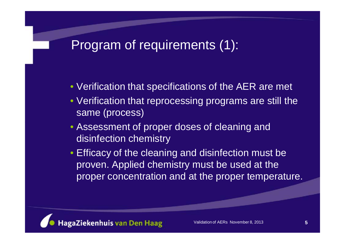## Program of requirements (1):

- Verification that specifications of the AER are met
- Verification that reprocessing programs are still the same (process)
- Assessment of proper doses of cleaning and disinfection chemistry
- Efficacy of the cleaning and disinfection must be proven. Applied chemistry must be used at the proper concentration and at the proper temperature.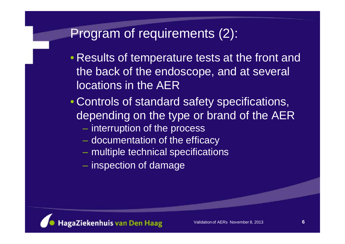## Program of requirements (2):

- Results of temperature tests at the front and the back of the endoscope, and at several locations in the AER
- Controls of standard safety specifications, depending on the type or brand of the AER
	- interruption of the process
	- documentation of the efficacy
	- multiple technical specifications
	- inspection of damage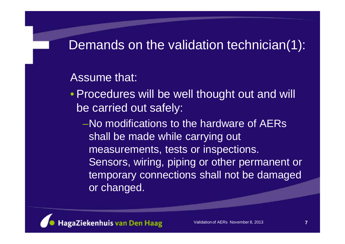## Demands on the validation technician(1):

### Assume that:

- Procedures will be well thought out and will be carried out safely:
	- –No modifications to the hardware of AERs shall be made while carrying out measurements, tests or inspections. Sensors, wiring, piping or other permanent or temporary connections shall not be damaged or changed.

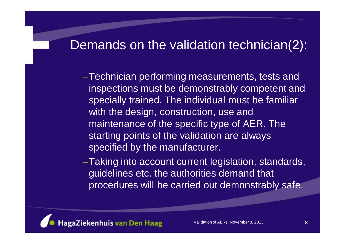### Demands on the validation technician(2):

- –Technician performing measurements, tests and inspections must be demonstrably competent and specially trained. The individual must be familiar with the design, construction, use and maintenance of the specific type of AER. The starting points of the validation are always specified by the manufacturer.
- –Taking into account current legislation, standards, guidelines etc. the authorities demand that procedures will be carried out demonstrably safe.

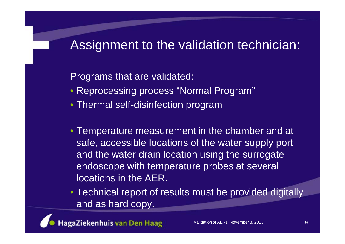## Assignment to the validation technician:

Programs that are validated:

- Reprocessing process "Normal Program"
- Thermal self-disinfection program
- Temperature measurement in the chamber and at safe, accessible locations of the water supply port and the water drain location using the surrogate endoscope with temperature probes at several locations in the AER.
- Technical report of results must be provided digitally and as hard copy.

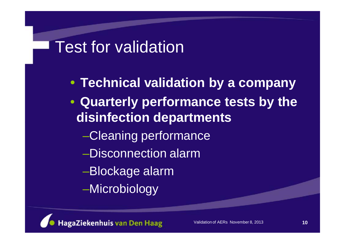## Test for validation

- **Technical validation by a company**
- **Quarterly performance tests by the disinfection departments**
	- –Cleaning performance
	- –Disconnection alarm
	- –Blockage alarm
	- –Microbiology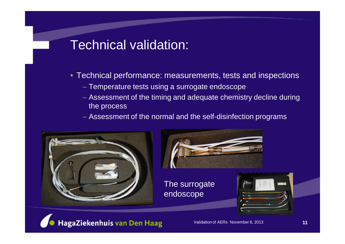### Technical validation:

- Technical performance: measurements, tests and inspections
	- Temperature tests using a surrogate endoscope
	- Assessment of the timing and adequate chemistry decline during the process
	- Assessment of the normal and the self-disinfection programs





The surrogate endoscope



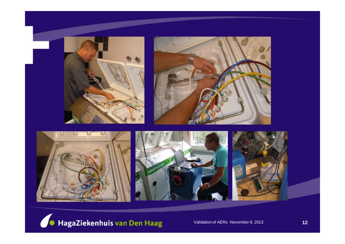

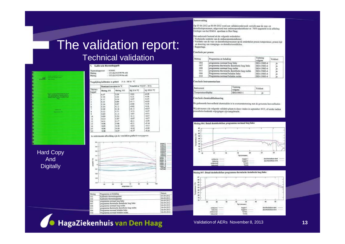### The validation report: Technical validation

#### 7. Kalibratie thermoloppels Thermoloppeiset : 000003

15

HagaZiekenhuis van Den Haag

|        | <b><i><u>PERSONAL PROPERTY</u></i></b> |
|--------|----------------------------------------|
|        |                                        |
|        |                                        |
|        |                                        |
|        |                                        |
|        |                                        |
|        |                                        |
|        |                                        |
|        |                                        |
|        |                                        |
|        |                                        |
|        |                                        |
|        |                                        |
|        |                                        |
|        |                                        |
|        |                                        |
|        |                                        |
|        |                                        |
|        |                                        |
|        |                                        |
|        |                                        |
|        |                                        |
|        |                                        |
|        |                                        |
|        |                                        |
|        |                                        |
|        |                                        |
|        |                                        |
|        |                                        |
|        |                                        |
|        |                                        |
|        |                                        |
|        |                                        |
|        |                                        |
|        |                                        |
|        |                                        |
|        |                                        |
|        |                                        |
|        |                                        |
|        |                                        |
|        |                                        |
| a      |                                        |
|        | ÷.                                     |
|        |                                        |
|        |                                        |
|        |                                        |
|        |                                        |
|        |                                        |
|        |                                        |
|        |                                        |
|        |                                        |
|        |                                        |
|        |                                        |
|        |                                        |
|        |                                        |
|        |                                        |
|        |                                        |
|        |                                        |
|        |                                        |
|        |                                        |
|        |                                        |
|        |                                        |
|        |                                        |
|        |                                        |
|        |                                        |
|        |                                        |
|        |                                        |
|        |                                        |
| Ē<br>E |                                        |
|        |                                        |
|        |                                        |
|        |                                        |
|        |                                        |
|        |                                        |
|        |                                        |
|        |                                        |
|        |                                        |

| <b>LEASE RECORD PRODUCTS</b><br>Mating<br>Metine | 12.022.287.2<br>÷                     | 101 (820120905b.cal)<br>102 (fk2012/906n.cal)        |                           |              |
|--------------------------------------------------|---------------------------------------|------------------------------------------------------|---------------------------|--------------|
|                                                  |                                       | Vergelijking kalibraties in gebied: 35.4 - 100-0 °C. |                           |              |
|                                                  | Standcord deviaties in <sup>4</sup> C |                                                      | Verschil in "C(102 - 101) |              |
| Thermo-<br>koppeli                               | Meting 101                            | Meting 102                                           | bii 35.4 °C               | bii 100.0 °C |
| I                                                | 0.07                                  | 0.14                                                 | $-0.01$                   | $-0.05$      |
| 2                                                | 0.10                                  | 0.16                                                 | 0.31                      | 0.06         |
| ż                                                | 0.17                                  | 0.14                                                 | 0.07                      | 0.15         |
|                                                  | 6.11                                  | 0.09                                                 | $-0.13$                   | $-0.03$      |
| $\frac{4}{5}$                                    | 6.14                                  | 0.07                                                 | $-0.00$                   | 0.05         |
| $\frac{6}{7}$                                    | 0.10.                                 | 0.12                                                 | $-0.02$                   | 0.01         |
|                                                  | 0.09                                  | 0.16                                                 | $-0.11$                   | $-0.07$      |
| s s                                              | 0.12                                  | 0.31                                                 | 0.23                      | 0.17         |
|                                                  | 0.09                                  | 0.15                                                 | 0.07                      | -0.01        |
| 10                                               | 0.09                                  | 0.34                                                 | 0.13                      | 0.07         |
| 11                                               | 0.19                                  | 0.07                                                 | $-0.07$                   | 0.07         |
| $12^{1}$                                         | 0.11                                  | 0.17                                                 | $-0.11$                   | $-0.09$      |
| 13                                               | 0.08                                  | 0.01                                                 | $-0.21$                   | $-0.14$      |
| 14                                               | 0.05                                  | 0.11                                                 | 0.03                      | 0.02         |

 $-0.09$ <br> $-0.26$ 0.06  $0.10$  $-0.02$  $0.06$ 0.07  $-0.21$ 

la onderstaande afbookling zijn de verschillen grafisch weergegeven.

Hard Copy And **Digitally** 



| teting | Programma en belading                        | Datum      |
|--------|----------------------------------------------|------------|
| 10     | Kalibratic thermokoppelset                   | 05-09-2012 |
| 62     | Kalibratic thermoloppelset                   | 06-09-2012 |
| 04     | programma normaal leeg links                 | 06-09-2012 |
| 07     | programma thermische desinfectic leeg links  | 06-09-2012 |
| Úß.    | programma normaal leeg rechts.               | 06-09-2012 |
| 11     | programma thermische desinfectie leeg rechts | 06-09-2012 |
| 06     | Programma normaal beladen links              | 06-09-2012 |
| ΠB     | Programma normaal beladen rechts             | 06-09-2012 |

#### Samenvatting

Op 05-06-2012 en 06-09-2012 werd een validatieonderzoek verricht naar de was- en desinfectieprocessen, uitgevoerd met endoscopendesinfector ar. 7450 opgesteld in de afdeling Urologie van het HAGA sportlaan te Den Haag.

#### Het onderzoek bestond uit de volgende onderdelen:

Technische controle van de endoscopendesinfector,

- rectmissene controls van oe ennoscopennessinteetar;<br>Validatie van de was- en desimbetiegencessem op de onderdelen proces temperatuur, proces tijd<br>en desering van reinigings- en desimbetiemiddelen;

Rapportage

#### Conclusie per proces

| Meting | Programma en belading                        | Toetsing<br>volgens | Voldoct |
|--------|----------------------------------------------|---------------------|---------|
| 004    | programma nonmaal leeg links                 | ISO-15883-4         | - 64    |
| $-007$ | programma thermische desinfectie loeg links  | ISO-15883-4         | ū       |
| 008    | programma normaal leeg rechts                | 150-15883-4         | 33      |
| 011    | programma thermische desinfectie leeg rechts | ISO-15883-4         | j3      |
| 006    | Programma normaal beladen links              | ISO-15883-4         | 13      |
| 010    | Programma normaal beladen rechts             | ISO-15883-4         | jū.     |

Conclusie instrumentarium

| Instrumen          | Toetsing<br>volgens | Voldoet |
|--------------------|---------------------|---------|
| Temperatuurdisplay | ISO15883-1          | JЯ      |

Conclusie chemicaliëndosering

De gedoseerde hoeveelheid chemicaliën is in overeenstemming met de gewenste hoeveelheden

Wij adviseren u de volgende validatie plaats te doen vinden in september 2013, of eerder indien procesbeinvloedende wijzigingen zijn aangebracht.





Meding 017: Detail desinfectiefuse programma thermische desinfectie long links



#### Validation of AERs November 8, 2013 **13**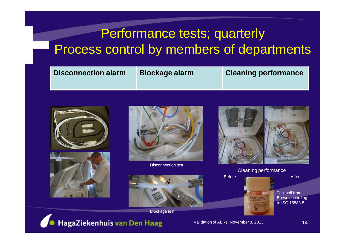## Performance tests; quarterly Process control by members of departments

**Disconnection alarm Blockage alarm Cleaning performance**







Disconnection test



Blockage test





Test soil from Brown according to ISO 15883-5



HagaZiekenhuis van Den Haag

Validation of AERs November 8, 2013 **14**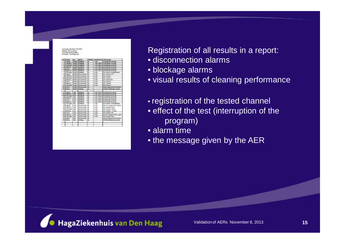comes designations (AS 60) Videling: VID, Societie apring: IE (neueri 2011)

|                 | <b>HIS FARLY</b>     | <b>Kas</b>      | prout                             |           | Medal capetrain    | UNADERWAY                                                          |
|-----------------|----------------------|-----------------|-----------------------------------|-----------|--------------------|--------------------------------------------------------------------|
|                 | 1.0000               | <b>BACMI</b>    | <b>RIGHTERS</b>                   | а         | 1,964              | <b>CFUK BOILGER &amp; Dr BOBB</b>                                  |
|                 | 2/Bibliott           | <b>INCM3</b>    | <b>Biolitace</b>                  | a         | 7.900-228 pm       | DRUCK ROCKER & THI BOWE                                            |
|                 | 41659016             | ROCM1           | <b>Hotagow</b>                    | a         | 7.900.000am        | <b>DRUK Bangall is to boost</b>                                    |
|                 | 4064140              | <b>BACMT</b>    | 810430-04                         | ×         | 7 Vol. 5. Base     | <b>DRUG REPORT &amp; TA BOAS</b>                                   |
|                 | $S$ $S$ dates        | <b>Bacter</b>   | <b>Bothsde</b>                    | ×         | 7 Mills Stillians  | Druik kanoal 5 to hood                                             |
| z               | <b>Elgress</b>       | <b>Girler</b>   | <b>Rinddia for</b>                | ×         | T wint 178 per     | Tred barred Ste level                                              |
|                 | T(Insera)            | <b>Barbie</b>   | <b><i><u>Mind-leaving</u></i></b> | ×         | E. wie             | Don Yumani 1 (undekanthaan)                                        |
| ٠               | 1 (gual)             | <b>Barriott</b> | <b>Discountraction</b>            | ja.       | 5. min.            | Discriptment Tue A.                                                |
|                 | 7 (Informal)         | Renking         | <b>Electrometric</b>              | ×         | <b>E.</b> when     | Don't intranel 7                                                   |
| m               | 10mmml               | <b>Berkey</b>   | Discountraction                   | <b>SE</b> | <b>Business</b>    | Direct insuranced 1                                                |
| 17              | <b>Gilbeand</b>      | <b>Barbis</b>   | Disconnection                     | ×         | <b>T. wie</b>      | Der Tursal 140                                                     |
| <b>I3</b>       | <b>Killed</b>        | <b>Barriers</b> | Discountraction                   | ja.       | 5. min             | Discriptional 1                                                    |
| u               | <b>Edgewort</b>      | <b>Barbin</b>   | Discountschie                     | ×         | 5. min.            | They increased it.                                                 |
| 14              | <b>Tilmsson</b>      | <b>Basico</b>   | Disconvenier                      | <b>is</b> | <b>Similar</b>     | Dies Kansas 3                                                      |
| 18              | <b>Schesen</b>       | <b>Resides</b>  | Disservanile                      | ×         |                    | Industryplaced status deals                                        |
| 1st             | <b>Informati</b>     | Reshts          | Lekhage                           | is.       |                    | Droite of continuously or growth                                   |
| ET.             | 1 fewel              | Letter          | <b>Bisklands</b>                  | ju.       | Train, 430 aux     | Druik harvaul 1 to bong                                            |
| и               | 200000               | Lider           | atlade                            | ъ         | Training Schlassen | Druk kannot 2 to house                                             |
| в               | 2-leasure            | щ               | Baltiste                          | 亩         | Total, Lillians    | Druk kanool 9 to boog                                              |
| ≅               | dilland              | Exko            | <b>Button</b>                     | ъ         | T With STRees      | The in interested of the factory                                   |
| Σ               | South                | <b>Udka</b>     | <b>Button</b>                     | ъ         | Train, Editors     | Druik kanool & to bood                                             |
| ਬ               | Edensen              | ш.              | <b>Bullets</b>                    | й         | Train trains       | Druk kannot & to hough                                             |
|                 | 7 Orrence            | the p           | <b>Bollade</b>                    | ×         | T selec            | <b>Dac Geneal Divisionariesed</b>                                  |
| ত               |                      |                 |                                   |           |                    |                                                                    |
| $^{34}$         | 1 Aprel              | Links           | Disabitationis                    | 'n        | C seles.           |                                                                    |
|                 |                      | Einks           |                                   |           | C sin.             |                                                                    |
| z<br>$^{\circ}$ | 2 (bigger)           | Links           | Disconnectie<br>Disconnection     |           | Creater.           | <b>Disc kensel I Mauw</b><br>Disc keyeel 3-orasie                  |
|                 | 3-learnied           | iletus          |                                   |           | C-solet            |                                                                    |
| Ø<br>ы          | <b>4-3-4-40</b>      | Links           | Disconnection                     |           | C-now              | Disc keineel 3 × 4 bruie                                           |
|                 | State                |                 | Disconnectie                      |           |                    | <b>DucksmeetSwit</b>                                               |
|                 | <b>Glareen</b>       | Links           | Disconnectie                      |           | 6.995              | Disc keer 1 goed on keer 6 groups<br>Dat kee 6 groot on ken 1 geel |
| ×<br>'n         | 70mmg<br><b>WANE</b> | Gold<br>Gold (  | Disconnection<br>Disconnection    | ۰         | 6 Min.             | Disc kereel 3 brain<br>Endicacogo konst siet og druk               |

Registration of all results in a report:

- disconnection alarms
- blockage alarms
- visual results of cleaning performance
- registration of the tested channel
- effect of the test (interruption of the program)
- alarm time
- the message given by the AER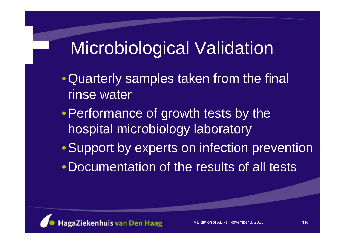## Microbiological Validation

- •Quarterly samples taken from the final rinse water
- Performance of growth tests by the hospital microbiology laboratory
- Support by experts on infection prevention
- •Documentation of the results of all tests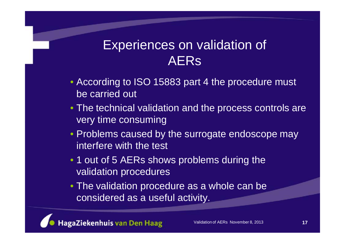## Experiences on validation of AERs

- According to ISO 15883 part 4 the procedure must be carried out
- The technical validation and the process controls are very time consuming
- Problems caused by the surrogate endoscope may interfere with the test
- 1 out of 5 AERs shows problems during the validation procedures
- The validation procedure as a whole can be considered as a useful activity.